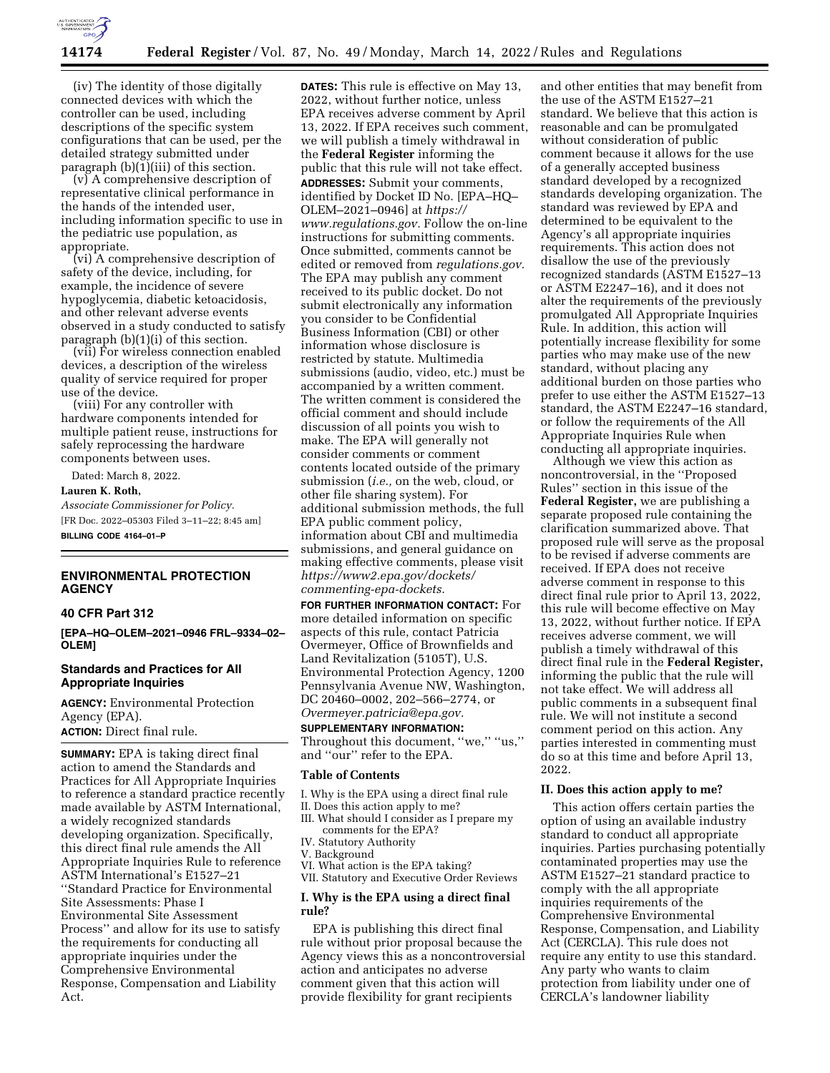

(iv) The identity of those digitally connected devices with which the controller can be used, including descriptions of the specific system configurations that can be used, per the detailed strategy submitted under paragraph (b)(1)(iii) of this section.

(v) A comprehensive description of representative clinical performance in the hands of the intended user, including information specific to use in the pediatric use population, as appropriate.

(vi) A comprehensive description of safety of the device, including, for example, the incidence of severe hypoglycemia, diabetic ketoacidosis, and other relevant adverse events observed in a study conducted to satisfy paragraph  $(b)(1)(i)$  of this section.

(vii) For wireless connection enabled devices, a description of the wireless quality of service required for proper use of the device.

(viii) For any controller with hardware components intended for multiple patient reuse, instructions for safely reprocessing the hardware components between uses.

Dated: March 8, 2022.

### **Lauren K. Roth,**

*Associate Commissioner for Policy.*  [FR Doc. 2022–05303 Filed 3–11–22; 8:45 am] **BILLING CODE 4164–01–P** 

# **ENVIRONMENTAL PROTECTION AGENCY**

### **40 CFR Part 312**

**[EPA–HQ–OLEM–2021–0946 FRL–9334–02– OLEM]** 

# **Standards and Practices for All Appropriate Inquiries**

**AGENCY:** Environmental Protection Agency (EPA). **ACTION:** Direct final rule.

**SUMMARY:** EPA is taking direct final action to amend the Standards and Practices for All Appropriate Inquiries to reference a standard practice recently made available by ASTM International, a widely recognized standards developing organization. Specifically, this direct final rule amends the All Appropriate Inquiries Rule to reference ASTM International's E1527–21 ''Standard Practice for Environmental Site Assessments: Phase I Environmental Site Assessment Process'' and allow for its use to satisfy the requirements for conducting all appropriate inquiries under the Comprehensive Environmental Response, Compensation and Liability Act.

**DATES:** This rule is effective on May 13, 2022, without further notice, unless EPA receives adverse comment by April 13, 2022. If EPA receives such comment, we will publish a timely withdrawal in the **Federal Register** informing the public that this rule will not take effect. **ADDRESSES:** Submit your comments, identified by Docket ID No. [EPA–HQ– OLEM–2021–0946] at *[https://](https://www.regulations.gov) [www.regulations.gov.](https://www.regulations.gov)* Follow the on-line instructions for submitting comments. Once submitted, comments cannot be edited or removed from *regulations.gov.*  The EPA may publish any comment received to its public docket. Do not submit electronically any information you consider to be Confidential Business Information (CBI) or other information whose disclosure is restricted by statute. Multimedia submissions (audio, video, etc.) must be accompanied by a written comment. The written comment is considered the official comment and should include discussion of all points you wish to make. The EPA will generally not consider comments or comment contents located outside of the primary submission (*i.e.,* on the web, cloud, or other file sharing system). For additional submission methods, the full EPA public comment policy, information about CBI and multimedia submissions, and general guidance on making effective comments, please visit *[https://www2.epa.gov/dockets/](https://www2.epa.gov/dockets/commenting-epa-dockets)  [commenting-epa-dockets.](https://www2.epa.gov/dockets/commenting-epa-dockets)* 

**FOR FURTHER INFORMATION CONTACT:** For more detailed information on specific aspects of this rule, contact Patricia Overmeyer, Office of Brownfields and Land Revitalization (5105T), U.S. Environmental Protection Agency, 1200 Pennsylvania Avenue NW, Washington, DC 20460–0002, 202–566–2774, or *[Overmeyer.patricia@epa.gov.](mailto:Overmeyer.patricia@epa.gov)* 

#### **SUPPLEMENTARY INFORMATION:**

Throughout this document, "we," "us," and ''our'' refer to the EPA.

# **Table of Contents**

- I. Why is the EPA using a direct final rule
- II. Does this action apply to me?
- III. What should I consider as I prepare my comments for the EPA?
- IV. Statutory Authority
- V. Background
- VI. What action is the EPA taking? VII. Statutory and Executive Order Reviews

# **I. Why is the EPA using a direct final rule?**

EPA is publishing this direct final rule without prior proposal because the Agency views this as a noncontroversial action and anticipates no adverse comment given that this action will provide flexibility for grant recipients

and other entities that may benefit from the use of the ASTM E1527–21 standard. We believe that this action is reasonable and can be promulgated without consideration of public comment because it allows for the use of a generally accepted business standard developed by a recognized standards developing organization. The standard was reviewed by EPA and determined to be equivalent to the Agency's all appropriate inquiries requirements. This action does not disallow the use of the previously recognized standards (ASTM E1527–13 or ASTM E2247–16), and it does not alter the requirements of the previously promulgated All Appropriate Inquiries Rule. In addition, this action will potentially increase flexibility for some parties who may make use of the new standard, without placing any additional burden on those parties who prefer to use either the ASTM E1527–13 standard, the ASTM E2247–16 standard, or follow the requirements of the All Appropriate Inquiries Rule when conducting all appropriate inquiries.

Although we view this action as noncontroversial, in the ''Proposed Rules'' section in this issue of the **Federal Register,** we are publishing a separate proposed rule containing the clarification summarized above. That proposed rule will serve as the proposal to be revised if adverse comments are received. If EPA does not receive adverse comment in response to this direct final rule prior to April 13, 2022, this rule will become effective on May 13, 2022, without further notice. If EPA receives adverse comment, we will publish a timely withdrawal of this direct final rule in the **Federal Register,**  informing the public that the rule will not take effect. We will address all public comments in a subsequent final rule. We will not institute a second comment period on this action. Any parties interested in commenting must do so at this time and before April 13, 2022.

## **II. Does this action apply to me?**

This action offers certain parties the option of using an available industry standard to conduct all appropriate inquiries. Parties purchasing potentially contaminated properties may use the ASTM E1527–21 standard practice to comply with the all appropriate inquiries requirements of the Comprehensive Environmental Response, Compensation, and Liability Act (CERCLA). This rule does not require any entity to use this standard. Any party who wants to claim protection from liability under one of CERCLA's landowner liability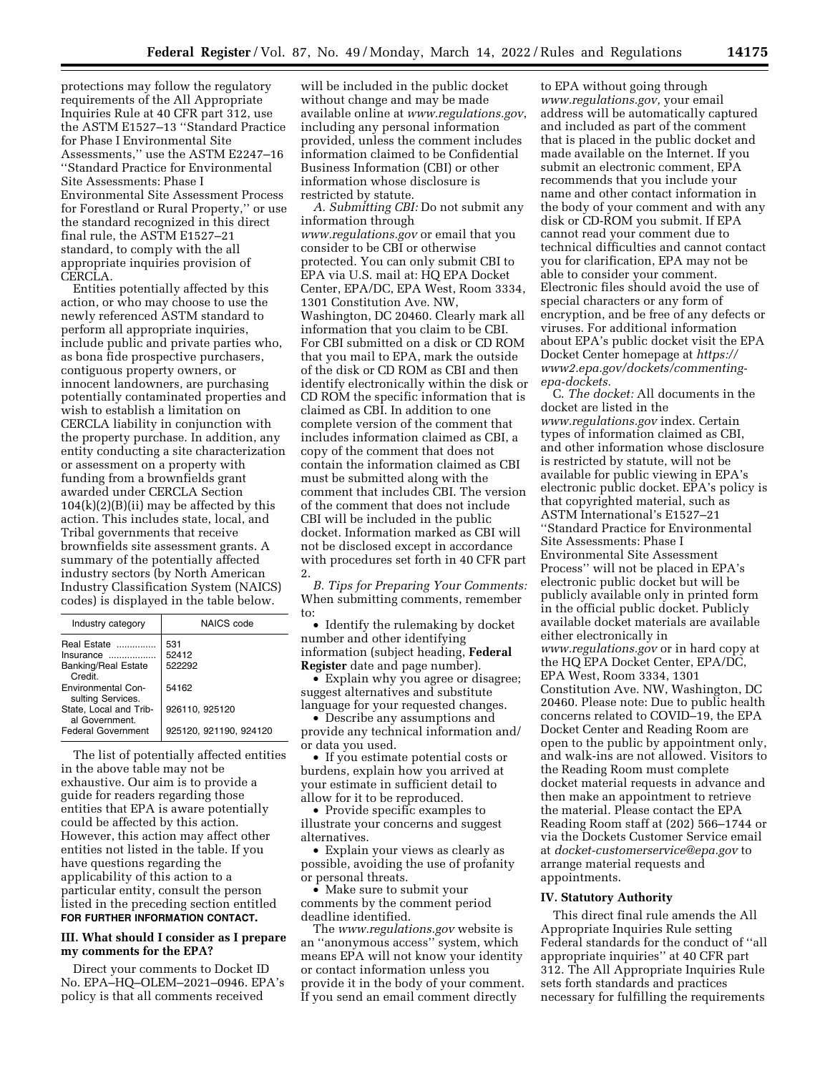protections may follow the regulatory requirements of the All Appropriate Inquiries Rule at 40 CFR part 312, use the ASTM E1527–13 ''Standard Practice for Phase I Environmental Site Assessments,'' use the ASTM E2247–16 ''Standard Practice for Environmental Site Assessments: Phase I Environmental Site Assessment Process for Forestland or Rural Property,'' or use the standard recognized in this direct final rule, the ASTM E1527–21 standard, to comply with the all appropriate inquiries provision of CERCLA.

Entities potentially affected by this action, or who may choose to use the newly referenced ASTM standard to perform all appropriate inquiries, include public and private parties who, as bona fide prospective purchasers, contiguous property owners, or innocent landowners, are purchasing potentially contaminated properties and wish to establish a limitation on CERCLA liability in conjunction with the property purchase. In addition, any entity conducting a site characterization or assessment on a property with funding from a brownfields grant awarded under CERCLA Section  $104(k)(2)(B)(ii)$  may be affected by this action. This includes state, local, and Tribal governments that receive brownfields site assessment grants. A summary of the potentially affected industry sectors (by North American Industry Classification System (NAICS) codes) is displayed in the table below.

| Industry category                              | NAICS code             |
|------------------------------------------------|------------------------|
| <b>Real Estate</b>                             | 531                    |
| Insurance                                      | 52412                  |
| <b>Banking/Real Estate</b><br>Credit           | 522292                 |
| <b>Environmental Con-</b><br>sulting Services. | 54162                  |
| State, Local and Trib-<br>al Government        | 926110.925120          |
| <b>Federal Government</b>                      | 925120, 921190, 924120 |

The list of potentially affected entities in the above table may not be exhaustive. Our aim is to provide a guide for readers regarding those entities that EPA is aware potentially could be affected by this action. However, this action may affect other entities not listed in the table. If you have questions regarding the applicability of this action to a particular entity, consult the person listed in the preceding section entitled **FOR FURTHER INFORMATION CONTACT.** 

# **III. What should I consider as I prepare my comments for the EPA?**

Direct your comments to Docket ID No. EPA–HQ–OLEM–2021–0946. EPA's policy is that all comments received

will be included in the public docket without change and may be made available online at *[www.regulations.gov](http://www.regulations.gov)*, including any personal information provided, unless the comment includes information claimed to be Confidential Business Information (CBI) or other information whose disclosure is restricted by statute.

*A. Submitting CBI:* Do not submit any information through *[www.regulations.gov](http://www.regulations.gov)* or email that you consider to be CBI or otherwise protected. You can only submit CBI to EPA via U.S. mail at: HQ EPA Docket Center, EPA/DC, EPA West, Room 3334, 1301 Constitution Ave. NW, Washington, DC 20460. Clearly mark all information that you claim to be CBI. For CBI submitted on a disk or CD ROM that you mail to EPA, mark the outside of the disk or CD ROM as CBI and then identify electronically within the disk or CD ROM the specific information that is claimed as CBI. In addition to one complete version of the comment that includes information claimed as CBI, a copy of the comment that does not contain the information claimed as CBI must be submitted along with the comment that includes CBI. The version of the comment that does not include CBI will be included in the public docket. Information marked as CBI will not be disclosed except in accordance with procedures set forth in 40 CFR part 2.

*B. Tips for Preparing Your Comments:*  When submitting comments, remember to:

• Identify the rulemaking by docket number and other identifying information (subject heading, **Federal Register** date and page number).

• Explain why you agree or disagree; suggest alternatives and substitute language for your requested changes.

• Describe any assumptions and provide any technical information and/ or data you used.

• If you estimate potential costs or burdens, explain how you arrived at your estimate in sufficient detail to allow for it to be reproduced.

• Provide specific examples to illustrate your concerns and suggest alternatives.

• Explain your views as clearly as possible, avoiding the use of profanity or personal threats.

• Make sure to submit your comments by the comment period deadline identified.

The *[www.regulations.gov](http://www.regulations.gov)* website is an ''anonymous access'' system, which means EPA will not know your identity or contact information unless you provide it in the body of your comment. If you send an email comment directly

to EPA without going through *[www.regulations.gov,](http://www.regulations.gov)* your email address will be automatically captured and included as part of the comment that is placed in the public docket and made available on the Internet. If you submit an electronic comment, EPA recommends that you include your name and other contact information in the body of your comment and with any disk or CD-ROM you submit. If EPA cannot read your comment due to technical difficulties and cannot contact you for clarification, EPA may not be able to consider your comment. Electronic files should avoid the use of special characters or any form of encryption, and be free of any defects or viruses. For additional information about EPA's public docket visit the EPA Docket Center homepage at *[https://](https://www2.epa.gov/dockets/commenting-epa-dockets) [www2.epa.gov/dockets/commenting](https://www2.epa.gov/dockets/commenting-epa-dockets)[epa-dockets.](https://www2.epa.gov/dockets/commenting-epa-dockets)* 

C. *The docket:* All documents in the docket are listed in the *[www.regulations.gov](http://www.regulations.gov)* index. Certain types of information claimed as CBI, and other information whose disclosure is restricted by statute, will not be available for public viewing in EPA's electronic public docket. EPA's policy is that copyrighted material, such as ASTM International's E1527–21 ''Standard Practice for Environmental Site Assessments: Phase I Environmental Site Assessment Process'' will not be placed in EPA's electronic public docket but will be publicly available only in printed form in the official public docket. Publicly available docket materials are available either electronically in *[www.regulations.gov](http://www.regulations.gov)* or in hard copy at the HQ EPA Docket Center, EPA/DC, EPA West, Room 3334, 1301 Constitution Ave. NW, Washington, DC 20460. Please note: Due to public health concerns related to COVID–19, the EPA Docket Center and Reading Room are open to the public by appointment only, and walk-ins are not allowed. Visitors to the Reading Room must complete docket material requests in advance and then make an appointment to retrieve the material. Please contact the EPA Reading Room staff at (202) 566–1744 or via the Dockets Customer Service email at *[docket-customerservice@epa.gov](mailto:docket-customerservice@epa.gov)* to arrange material requests and appointments.

#### **IV. Statutory Authority**

This direct final rule amends the All Appropriate Inquiries Rule setting Federal standards for the conduct of ''all appropriate inquiries'' at 40 CFR part 312. The All Appropriate Inquiries Rule sets forth standards and practices necessary for fulfilling the requirements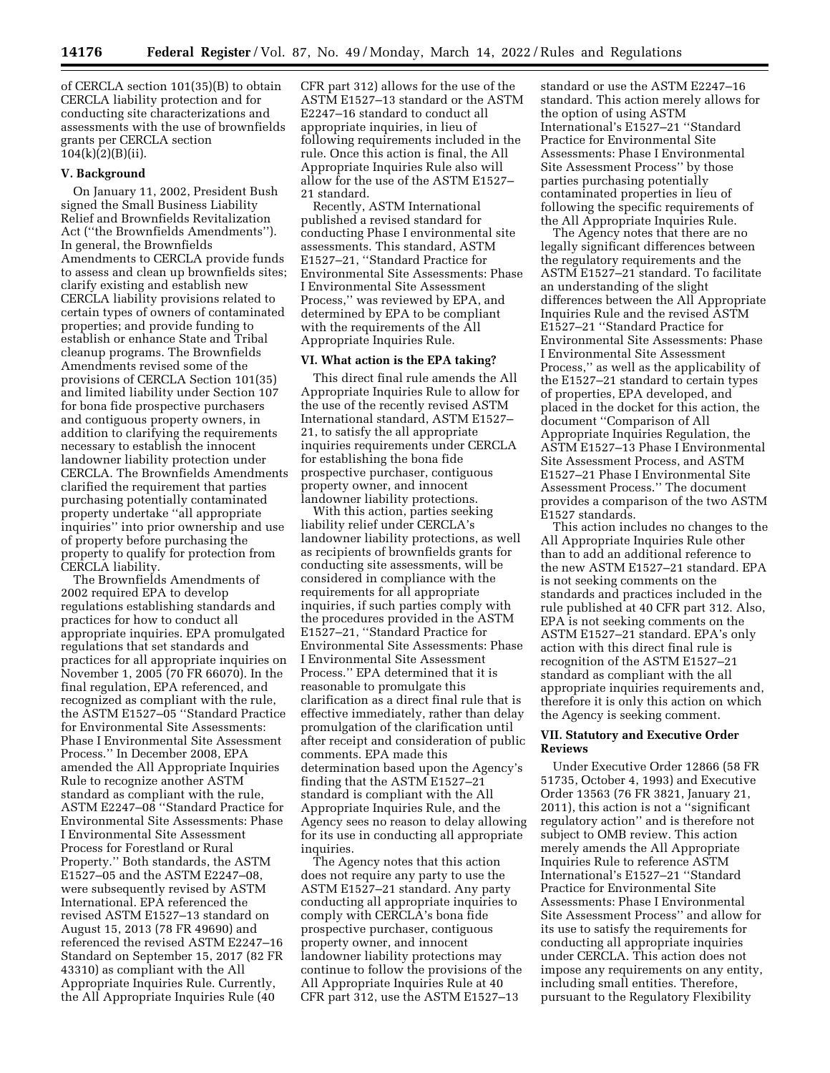of CERCLA section 101(35)(B) to obtain CERCLA liability protection and for conducting site characterizations and assessments with the use of brownfields grants per CERCLA section 104(k)(2)(B)(ii).

#### **V. Background**

On January 11, 2002, President Bush signed the Small Business Liability Relief and Brownfields Revitalization Act (''the Brownfields Amendments''). In general, the Brownfields Amendments to CERCLA provide funds to assess and clean up brownfields sites; clarify existing and establish new CERCLA liability provisions related to certain types of owners of contaminated properties; and provide funding to establish or enhance State and Tribal cleanup programs. The Brownfields Amendments revised some of the provisions of CERCLA Section 101(35) and limited liability under Section 107 for bona fide prospective purchasers and contiguous property owners, in addition to clarifying the requirements necessary to establish the innocent landowner liability protection under CERCLA. The Brownfields Amendments clarified the requirement that parties purchasing potentially contaminated property undertake ''all appropriate inquiries'' into prior ownership and use of property before purchasing the property to qualify for protection from CERCLA liability.

The Brownfields Amendments of 2002 required EPA to develop regulations establishing standards and practices for how to conduct all appropriate inquiries. EPA promulgated regulations that set standards and practices for all appropriate inquiries on November 1, 2005 (70 FR 66070). In the final regulation, EPA referenced, and recognized as compliant with the rule, the ASTM E1527–05 ''Standard Practice for Environmental Site Assessments: Phase I Environmental Site Assessment Process.'' In December 2008, EPA amended the All Appropriate Inquiries Rule to recognize another ASTM standard as compliant with the rule, ASTM E2247–08 ''Standard Practice for Environmental Site Assessments: Phase I Environmental Site Assessment Process for Forestland or Rural Property.'' Both standards, the ASTM E1527–05 and the ASTM E2247–08, were subsequently revised by ASTM International. EPA referenced the revised ASTM E1527–13 standard on August 15, 2013 (78 FR 49690) and referenced the revised ASTM E2247–16 Standard on September 15, 2017 (82 FR 43310) as compliant with the All Appropriate Inquiries Rule. Currently, the All Appropriate Inquiries Rule (40

CFR part 312) allows for the use of the ASTM E1527–13 standard or the ASTM E2247–16 standard to conduct all appropriate inquiries, in lieu of following requirements included in the rule. Once this action is final, the All Appropriate Inquiries Rule also will allow for the use of the ASTM E1527– 21 standard.

Recently, ASTM International published a revised standard for conducting Phase I environmental site assessments. This standard, ASTM E1527–21, ''Standard Practice for Environmental Site Assessments: Phase I Environmental Site Assessment Process,'' was reviewed by EPA, and determined by EPA to be compliant with the requirements of the All Appropriate Inquiries Rule.

### **VI. What action is the EPA taking?**

This direct final rule amends the All Appropriate Inquiries Rule to allow for the use of the recently revised ASTM International standard, ASTM E1527– 21, to satisfy the all appropriate inquiries requirements under CERCLA for establishing the bona fide prospective purchaser, contiguous property owner, and innocent landowner liability protections.

With this action, parties seeking liability relief under CERCLA's landowner liability protections, as well as recipients of brownfields grants for conducting site assessments, will be considered in compliance with the requirements for all appropriate inquiries, if such parties comply with the procedures provided in the ASTM E1527–21, ''Standard Practice for Environmental Site Assessments: Phase I Environmental Site Assessment Process.'' EPA determined that it is reasonable to promulgate this clarification as a direct final rule that is effective immediately, rather than delay promulgation of the clarification until after receipt and consideration of public comments. EPA made this determination based upon the Agency's finding that the ASTM E1527–21 standard is compliant with the All Appropriate Inquiries Rule, and the Agency sees no reason to delay allowing for its use in conducting all appropriate inquiries.

The Agency notes that this action does not require any party to use the ASTM E1527–21 standard. Any party conducting all appropriate inquiries to comply with CERCLA's bona fide prospective purchaser, contiguous property owner, and innocent landowner liability protections may continue to follow the provisions of the All Appropriate Inquiries Rule at 40 CFR part 312, use the ASTM E1527–13

standard or use the ASTM E2247–16 standard. This action merely allows for the option of using ASTM International's E1527–21 ''Standard Practice for Environmental Site Assessments: Phase I Environmental Site Assessment Process'' by those parties purchasing potentially contaminated properties in lieu of following the specific requirements of the All Appropriate Inquiries Rule.

The Agency notes that there are no legally significant differences between the regulatory requirements and the ASTM E1527–21 standard. To facilitate an understanding of the slight differences between the All Appropriate Inquiries Rule and the revised ASTM E1527–21 ''Standard Practice for Environmental Site Assessments: Phase I Environmental Site Assessment Process,'' as well as the applicability of the E1527–21 standard to certain types of properties, EPA developed, and placed in the docket for this action, the document ''Comparison of All Appropriate Inquiries Regulation, the ASTM E1527–13 Phase I Environmental Site Assessment Process, and ASTM E1527–21 Phase I Environmental Site Assessment Process.'' The document provides a comparison of the two ASTM E1527 standards.

This action includes no changes to the All Appropriate Inquiries Rule other than to add an additional reference to the new ASTM E1527–21 standard. EPA is not seeking comments on the standards and practices included in the rule published at 40 CFR part 312. Also, EPA is not seeking comments on the ASTM E1527–21 standard. EPA's only action with this direct final rule is recognition of the ASTM E1527–21 standard as compliant with the all appropriate inquiries requirements and, therefore it is only this action on which the Agency is seeking comment.

## **VII. Statutory and Executive Order Reviews**

Under Executive Order 12866 (58 FR 51735, October 4, 1993) and Executive Order 13563 (76 FR 3821, January 21, 2011), this action is not a ''significant regulatory action'' and is therefore not subject to OMB review. This action merely amends the All Appropriate Inquiries Rule to reference ASTM International's E1527–21 ''Standard Practice for Environmental Site Assessments: Phase I Environmental Site Assessment Process'' and allow for its use to satisfy the requirements for conducting all appropriate inquiries under CERCLA. This action does not impose any requirements on any entity, including small entities. Therefore, pursuant to the Regulatory Flexibility